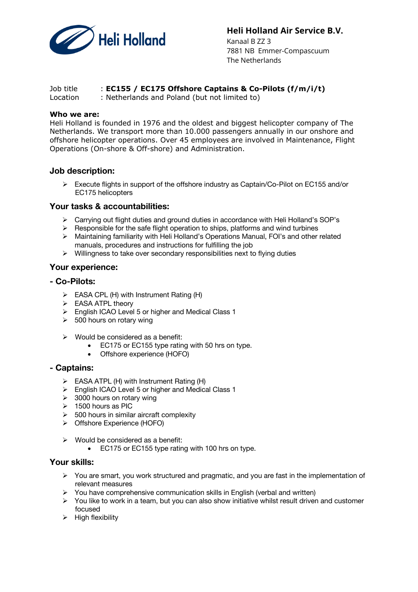

## **Heli Holland Air Service B.V.**

Kanaal B ZZ 3 7881 NB Emmer-Compascuum The Netherlands

## Job title : **EC155 / EC175 Offshore Captains & Co-Pilots (f/m/i/t)**

Location : Netherlands and Poland (but not limited to)

#### **Who we are:**

Heli Holland is founded in 1976 and the oldest and biggest helicopter company of The Netherlands. We transport more than 10.000 passengers annually in our onshore and offshore helicopter operations. Over 45 employees are involved in Maintenance, Flight Operations (On-shore & Off-shore) and Administration.

### **Job description:**

 $\triangleright$  Execute flights in support of the offshore industry as Captain/Co-Pilot on EC155 and/or EC175 helicopters

## **Your tasks & accountabilities:**

- $\triangleright$  Carrying out flight duties and ground duties in accordance with Heli Holland's SOP's
- $\triangleright$  Responsible for the safe flight operation to ships, platforms and wind turbines
- $\triangleright$  Maintaining familiarity with Heli Holland's Operations Manual, FOI's and other related manuals, procedures and instructions for fulfilling the job
- $\triangleright$  Willingness to take over secondary responsibilities next to flying duties

## **Your experience:**

#### **- Co-Pilots:**

- $\triangleright$  EASA CPL (H) with Instrument Rating (H)
- $\triangleright$  EASA ATPL theory
- $\triangleright$  English ICAO Level 5 or higher and Medical Class 1
- $\geq$  500 hours on rotary wing
- $\triangleright$  Would be considered as a benefit:
	- EC175 or EC155 type rating with 50 hrs on type.
	- Offshore experience (HOFO)

### **- Captains:**

- $\triangleright$  EASA ATPL (H) with Instrument Rating (H)
- Ø English ICAO Level 5 or higher and Medical Class 1
- $\geq$  3000 hours on rotary wing
- $\geq 1500$  hours as PIC
- $\geq$  500 hours in similar aircraft complexity
- Ø Offshore Experience (HOFO)
- $\triangleright$  Would be considered as a benefit:
	- EC175 or EC155 type rating with 100 hrs on type.

# **Your skills:**

- $\triangleright$  You are smart, you work structured and pragmatic, and you are fast in the implementation of relevant measures
- $\triangleright$  You have comprehensive communication skills in English (verbal and written)
- Ø You like to work in a team, but you can also show initiative whilst result driven and customer focused
- $\triangleright$  High flexibility